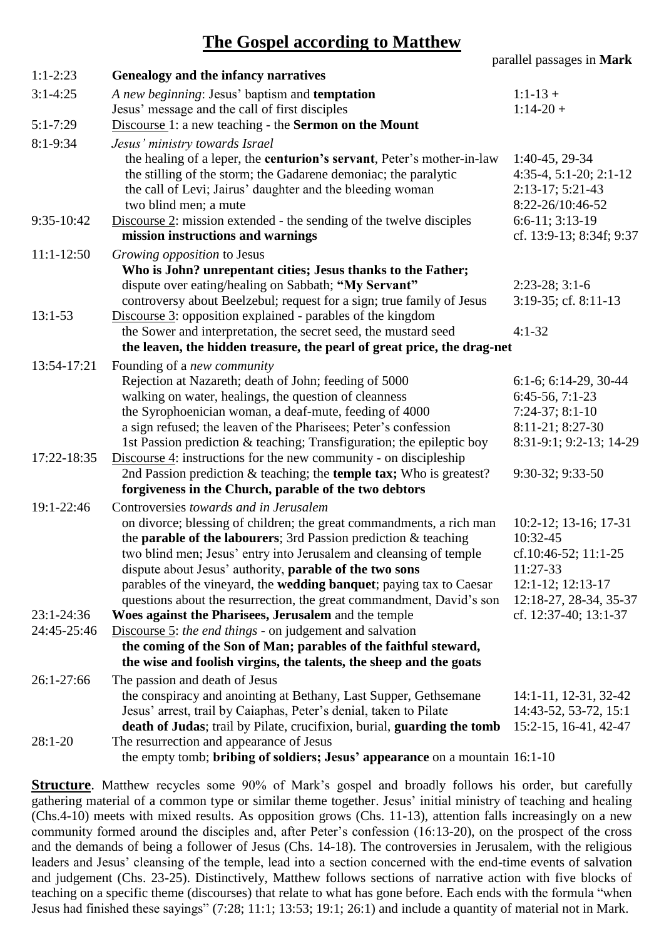## **The Gospel according to Matthew**

|              |                                                                                                                                        | parallel passages in Mark                          |
|--------------|----------------------------------------------------------------------------------------------------------------------------------------|----------------------------------------------------|
| $1:1-2:23$   | Genealogy and the infancy narratives                                                                                                   |                                                    |
| $3:1 - 4:25$ | A new beginning: Jesus' baptism and <b>temptation</b>                                                                                  | $1:1-13+$                                          |
|              | Jesus' message and the call of first disciples                                                                                         | $1:14-20+$                                         |
| $5:1 - 7:29$ | Discourse 1: a new teaching - the <b>Sermon on the Mount</b>                                                                           |                                                    |
| $8:1-9:34$   | Jesus' ministry towards Israel                                                                                                         |                                                    |
|              | the healing of a leper, the centurion's servant, Peter's mother-in-law                                                                 | 1:40-45, 29-34                                     |
|              | the stilling of the storm; the Gadarene demoniac; the paralytic                                                                        | $4:35-4, 5:1-20; 2:1-12$                           |
|              | the call of Levi; Jairus' daughter and the bleeding woman<br>two blind men; a mute                                                     | $2:13-17; 5:21-43$<br>8:22-26/10:46-52             |
| 9:35-10:42   | Discourse 2: mission extended - the sending of the twelve disciples                                                                    | $6:6-11; 3:13-19$                                  |
|              | mission instructions and warnings                                                                                                      | cf. 13:9-13; 8:34f; 9:37                           |
| $11:1-12:50$ | Growing opposition to Jesus                                                                                                            |                                                    |
|              | Who is John? unrepentant cities; Jesus thanks to the Father;                                                                           |                                                    |
|              | dispute over eating/healing on Sabbath; "My Servant"                                                                                   | $2:23-28$ ; $3:1-6$                                |
|              | controversy about Beelzebul; request for a sign; true family of Jesus                                                                  | 3:19-35; cf. 8:11-13                               |
| $13:1-53$    | Discourse 3: opposition explained - parables of the kingdom                                                                            |                                                    |
|              | the Sower and interpretation, the secret seed, the mustard seed                                                                        | $4:1-32$                                           |
|              | the leaven, the hidden treasure, the pearl of great price, the drag-net                                                                |                                                    |
| 13:54-17:21  | Founding of a <i>new community</i>                                                                                                     |                                                    |
|              | Rejection at Nazareth; death of John; feeding of 5000<br>walking on water, healings, the question of cleanness                         | $6:1-6$ ; $6:14-29$ , $30-44$<br>$6:45-56, 7:1-23$ |
|              | the Syrophoenician woman, a deaf-mute, feeding of 4000                                                                                 | $7:24-37; 8:1-10$                                  |
|              | a sign refused; the leaven of the Pharisees; Peter's confession                                                                        | 8:11-21; 8:27-30                                   |
|              | 1st Passion prediction & teaching; Transfiguration; the epileptic boy                                                                  | 8:31-9:1; 9:2-13; 14-29                            |
| 17:22-18:35  | Discourse 4: instructions for the new community - on discipleship                                                                      |                                                    |
|              | 2nd Passion prediction $&$ teaching; the <b>temple tax;</b> Who is greatest?                                                           | 9:30-32; 9:33-50                                   |
|              | forgiveness in the Church, parable of the two debtors                                                                                  |                                                    |
| 19:1-22:46   | Controversies towards and in Jerusalem                                                                                                 |                                                    |
|              | on divorce; blessing of children; the great commandments, a rich man                                                                   | $10:2-12$ ; 13-16; 17-31                           |
|              | the <b>parable of the labourers</b> ; 3rd Passion prediction $\&$ teaching                                                             | 10:32-45                                           |
|              | two blind men; Jesus' entry into Jerusalem and cleansing of temple                                                                     | cf.10:46-52; 11:1-25                               |
|              | dispute about Jesus' authority, parable of the two sons<br>parables of the vineyard, the <b>wedding banquet</b> ; paying tax to Caesar | 11:27-33<br>$12:1-12$ ; $12:13-17$                 |
|              | questions about the resurrection, the great commandment, David's son                                                                   | 12:18-27, 28-34, 35-37                             |
| 23:1-24:36   | Woes against the Pharisees, Jerusalem and the temple                                                                                   | cf. 12:37-40; 13:1-37                              |
| 24:45-25:46  | Discourse 5: the end things - on judgement and salvation                                                                               |                                                    |
|              | the coming of the Son of Man; parables of the faithful steward,                                                                        |                                                    |
|              | the wise and foolish virgins, the talents, the sheep and the goats                                                                     |                                                    |
| 26:1-27:66   | The passion and death of Jesus                                                                                                         |                                                    |
|              | the conspiracy and anointing at Bethany, Last Supper, Gethsemane                                                                       | 14:1-11, 12-31, 32-42                              |
|              | Jesus' arrest, trail by Caiaphas, Peter's denial, taken to Pilate                                                                      | 14:43-52, 53-72, 15:1                              |
|              | death of Judas; trail by Pilate, crucifixion, burial, guarding the tomb                                                                | 15:2-15, 16-41, 42-47                              |
| $28:1-20$    | The resurrection and appearance of Jesus                                                                                               |                                                    |
|              | the empty tomb; bribing of soldiers; Jesus' appearance on a mountain 16:1-10                                                           |                                                    |

**Structure**. Matthew recycles some 90% of Mark's gospel and broadly follows his order, but carefully gathering material of a common type or similar theme together. Jesus' initial ministry of teaching and healing  $(Chs.4-10)$  meets with mixed results. As opposition grows (Chs. 11-13), attention falls increasingly on a new community formed around the disciples and, after Peter's confession (16:13-20), on the prospect of the cross and the demands of being a follower of Jesus (Chs. 14-18). The controversies in Jerusalem, with the religious leaders and Jesus' cleansing of the temple, lead into a section concerned with the end-time events of salvation and judgement (Chs. 23-25). Distinctively, Matthew follows sections of narrative action with five blocks of teaching on a specific theme (discourses) that relate to what has gone before. Each ends with the formula "when Jesus had finished these sayings" (7:28; 11:1; 13:53; 19:1; 26:1) and include a quantity of material not in Mark.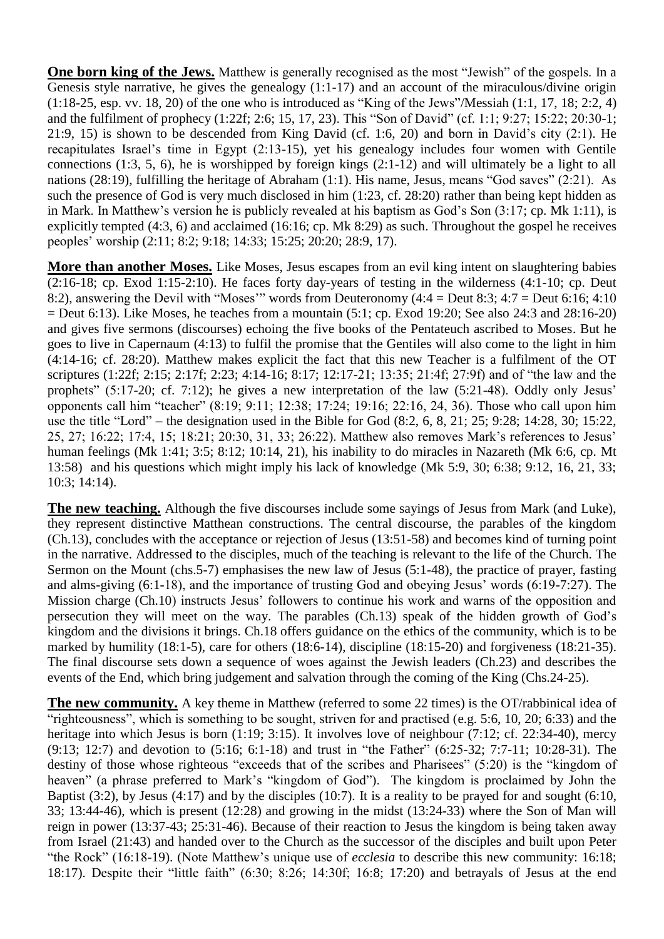**One born king of the Jews.** Matthew is generally recognised as the most "Jewish" of the gospels. In a Genesis style narrative, he gives the genealogy  $(1:1-17)$  and an account of the miraculous/divine origin (1:18-25, esp. vv. 18, 20) of the one who is introduced as "King of the Jews"/Messiah (1:1, 17, 18; 2:2, 4) and the fulfilment of prophecy (1:22f; 2:6; 15, 17, 23). This "Son of David" (cf. 1:1; 9:27; 15:22; 20:30-1; 21:9, 15) is shown to be descended from King David (cf. 1:6, 20) and born in David's city (2:1). He recapitulates Israel's time in Egypt (2:13-15), yet his genealogy includes four women with Gentile connections (1:3, 5, 6), he is worshipped by foreign kings (2:1-12) and will ultimately be a light to all nations (28:19), fulfilling the heritage of Abraham (1:1). His name, Jesus, means "God saves" (2:21). As such the presence of God is very much disclosed in him (1:23, cf. 28:20) rather than being kept hidden as in Mark. In Matthew's version he is publicly revealed at his baptism as God's Son (3:17; cp. Mk 1:11), is explicitly tempted (4:3, 6) and acclaimed (16:16; cp. Mk 8:29) as such. Throughout the gospel he receives peoples' worship (2:11; 8:2; 9:18; 14:33; 15:25; 20:20; 28:9, 17).

**More than another Moses.** Like Moses, Jesus escapes from an evil king intent on slaughtering babies (2:16-18; cp. Exod 1:15-2:10). He faces forty day-years of testing in the wilderness (4:1-10; cp. Deut 8:2), answering the Devil with "Moses'" words from Deuteronomy (4:4 = Deut 8:3; 4:7 = Deut 6:16; 4:10  $=$  Deut 6:13). Like Moses, he teaches from a mountain (5:1; cp. Exod 19:20; See also 24:3 and 28:16-20) and gives five sermons (discourses) echoing the five books of the Pentateuch ascribed to Moses. But he goes to live in Capernaum (4:13) to fulfil the promise that the Gentiles will also come to the light in him (4:14-16; cf. 28:20). Matthew makes explicit the fact that this new Teacher is a fulfilment of the OT scriptures (1:22f; 2:15; 2:17f; 2:23; 4:14-16; 8:17; 12:17-21; 13:35; 21:4f; 27:9f) and of "the law and the prophets" (5:17-20; cf. 7:12); he gives a new interpretation of the law (5:21-48). Oddly only Jesus' opponents call him "teacher" (8:19; 9:11; 12:38; 17:24; 19:16; 22:16, 24, 36). Those who call upon him use the title "Lord" – the designation used in the Bible for God  $(8:2, 6, 8, 21; 25; 9:28; 14:28, 30; 15:22,$ 25, 27; 16:22; 17:4, 15; 18:21; 20:30, 31, 33; 26:22). Matthew also removes Mark's references to Jesus' human feelings (Mk 1:41; 3:5; 8:12; 10:14, 21), his inability to do miracles in Nazareth (Mk 6:6, cp. Mt 13:58) and his questions which might imply his lack of knowledge (Mk 5:9, 30; 6:38; 9:12, 16, 21, 33; 10:3; 14:14).

**The new teaching.** Although the five discourses include some sayings of Jesus from Mark (and Luke), they represent distinctive Matthean constructions. The central discourse, the parables of the kingdom (Ch.13), concludes with the acceptance or rejection of Jesus (13:51-58) and becomes kind of turning point in the narrative. Addressed to the disciples, much of the teaching is relevant to the life of the Church. The Sermon on the Mount (chs.5-7) emphasises the new law of Jesus (5:1-48), the practice of prayer, fasting and alms-giving (6:1-18), and the importance of trusting God and obeying Jesus' words (6:19-7:27). The Mission charge (Ch.10) instructs Jesus' followers to continue his work and warns of the opposition and persecution they will meet on the way. The parables (Ch.13) speak of the hidden growth of God's kingdom and the divisions it brings. Ch.18 offers guidance on the ethics of the community, which is to be marked by humility (18:1-5), care for others (18:6-14), discipline (18:15-20) and forgiveness (18:21-35). The final discourse sets down a sequence of woes against the Jewish leaders (Ch.23) and describes the events of the End, which bring judgement and salvation through the coming of the King (Chs. 24-25).

**The new community.** A key theme in Matthew (referred to some 22 times) is the OT/rabbinical idea of "righteousness", which is something to be sought, striven for and practised (e.g. 5:6, 10, 20; 6:33) and the heritage into which Jesus is born (1:19; 3:15). It involves love of neighbour (7:12; cf. 22:34-40), mercy (9:13; 12:7) and devotion to (5:16; 6:1-18) and trust in "the Father" (6:25-32; 7:7-11; 10:28-31). The destiny of those whose righteous "exceeds that of the scribes and Pharisees" (5:20) is the "kingdom of heaven" (a phrase preferred to Mark's "kingdom of God"). The kingdom is proclaimed by John the Baptist (3:2), by Jesus (4:17) and by the disciples (10:7). It is a reality to be prayed for and sought (6:10, 33; 13:44-46), which is present (12:28) and growing in the midst (13:24-33) where the Son of Man will reign in power (13:37-43; 25:31-46). Because of their reaction to Jesus the kingdom is being taken away from Israel (21:43) and handed over to the Church as the successor of the disciples and built upon Peter "the Rock" (16:18-19). (Note Matthew's unique use of *ecclesia* to describe this new community: 16:18; 18:17). Despite their "little faith" (6:30; 8:26; 14:30f; 16:8; 17:20) and betrayals of Jesus at the end